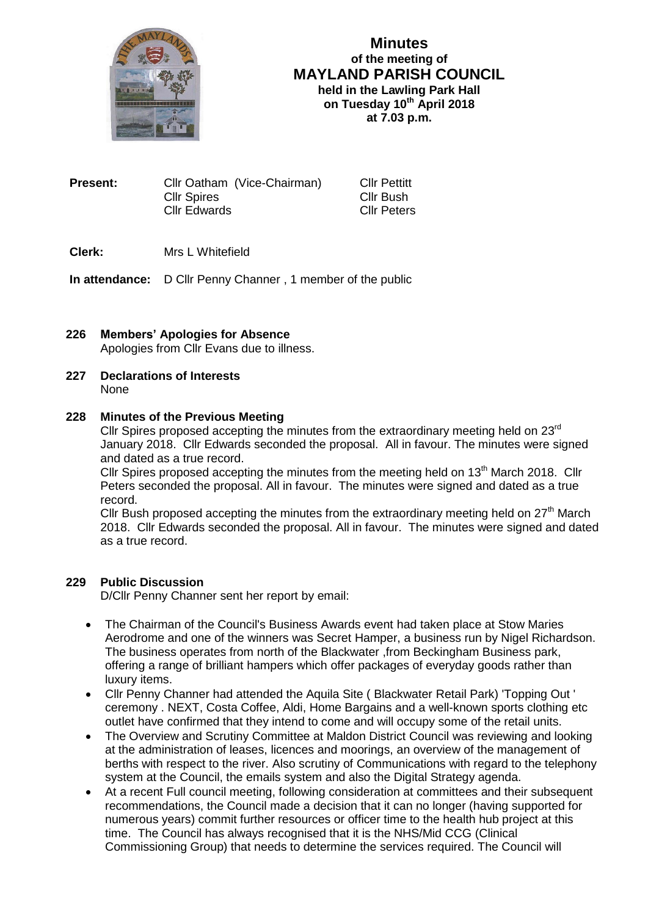

## **Minutes of the meeting of MAYLAND PARISH COUNCIL held in the Lawling Park Hall on Tuesday 10th April 2018 at 7.03 p.m.**

**Present:** Cllr Oatham (Vice-Chairman) Cllr Pettitt Cllr Spires Cllr Bush Cllr Edwards Cllr Peters

## **Clerk:** Mrs L Whitefield

**In attendance:** D Cllr Penny Channer , 1 member of the public

# **226 Members' Apologies for Absence** Apologies from Cllr Evans due to illness.

#### **227 Declarations of Interests** None

### **228 Minutes of the Previous Meeting**

Cllr Spires proposed accepting the minutes from the extraordinary meeting held on  $23<sup>rd</sup>$ January 2018. Cllr Edwards seconded the proposal. All in favour. The minutes were signed and dated as a true record.

Cllr Spires proposed accepting the minutes from the meeting held on 13<sup>th</sup> March 2018. Cllr Peters seconded the proposal. All in favour. The minutes were signed and dated as a true record.

Cllr Bush proposed accepting the minutes from the extraordinary meeting held on  $27<sup>th</sup>$  March 2018. Cllr Edwards seconded the proposal. All in favour. The minutes were signed and dated as a true record.

## **229 Public Discussion**

D/Cllr Penny Channer sent her report by email:

- The Chairman of the Council's Business Awards event had taken place at Stow Maries Aerodrome and one of the winners was Secret Hamper, a business run by Nigel Richardson. The business operates from north of the Blackwater ,from Beckingham Business park, offering a range of brilliant hampers which offer packages of everyday goods rather than luxury items.
- Cllr Penny Channer had attended the Aquila Site ( Blackwater Retail Park) 'Topping Out ' ceremony . NEXT, Costa Coffee, Aldi, Home Bargains and a well-known sports clothing etc outlet have confirmed that they intend to come and will occupy some of the retail units.
- The Overview and Scrutiny Committee at Maldon District Council was reviewing and looking at the administration of leases, licences and moorings, an overview of the management of berths with respect to the river. Also scrutiny of Communications with regard to the telephony system at the Council, the emails system and also the Digital Strategy agenda.
- At a recent Full council meeting, following consideration at committees and their subsequent recommendations, the Council made a decision that it can no longer (having supported for numerous years) commit further resources or officer time to the health hub project at this time. The Council has always recognised that it is the NHS/Mid CCG (Clinical Commissioning Group) that needs to determine the services required. The Council will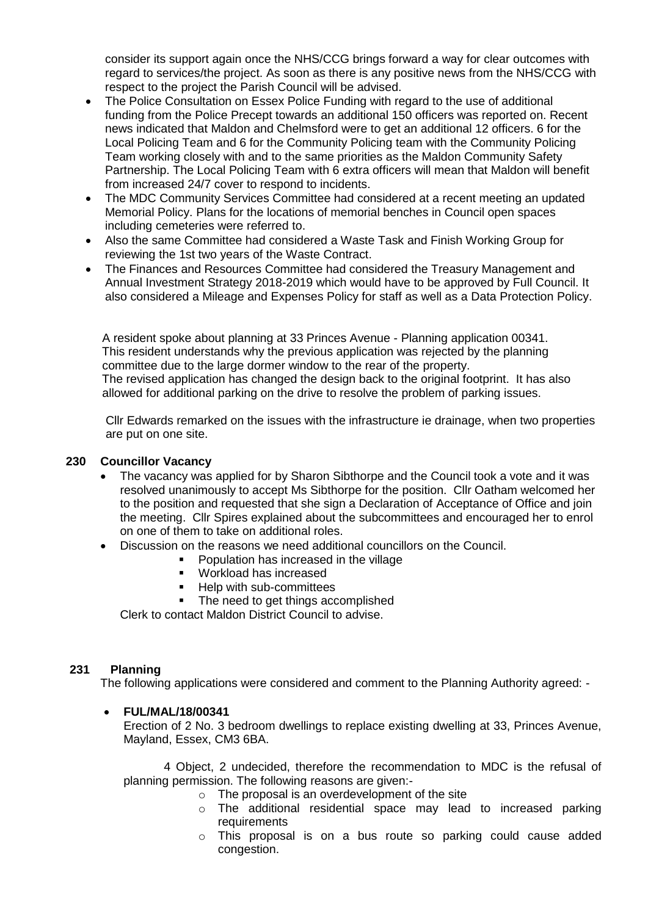consider its support again once the NHS/CCG brings forward a way for clear outcomes with regard to services/the project. As soon as there is any positive news from the NHS/CCG with respect to the project the Parish Council will be advised.

- The Police Consultation on Essex Police Funding with regard to the use of additional funding from the Police Precept towards an additional 150 officers was reported on. Recent news indicated that Maldon and Chelmsford were to get an additional 12 officers. 6 for the Local Policing Team and 6 for the Community Policing team with the Community Policing Team working closely with and to the same priorities as the Maldon Community Safety Partnership. The Local Policing Team with 6 extra officers will mean that Maldon will benefit from increased 24/7 cover to respond to incidents.
- The MDC Community Services Committee had considered at a recent meeting an updated Memorial Policy. Plans for the locations of memorial benches in Council open spaces including cemeteries were referred to.
- Also the same Committee had considered a Waste Task and Finish Working Group for reviewing the 1st two years of the Waste Contract.
- The Finances and Resources Committee had considered the Treasury Management and Annual Investment Strategy 2018-2019 which would have to be approved by Full Council. It also considered a Mileage and Expenses Policy for staff as well as a Data Protection Policy.

 A resident spoke about planning at 33 Princes Avenue - Planning application 00341. This resident understands why the previous application was rejected by the planning committee due to the large dormer window to the rear of the property. The revised application has changed the design back to the original footprint. It has also allowed for additional parking on the drive to resolve the problem of parking issues.

 Cllr Edwards remarked on the issues with the infrastructure ie drainage, when two properties are put on one site.

## **230 Councillor Vacancy**

- The vacancy was applied for by Sharon Sibthorpe and the Council took a vote and it was resolved unanimously to accept Ms Sibthorpe for the position. Cllr Oatham welcomed her to the position and requested that she sign a Declaration of Acceptance of Office and join the meeting. Cllr Spires explained about the subcommittees and encouraged her to enrol on one of them to take on additional roles.
- Discussion on the reasons we need additional councillors on the Council.
	- **Population has increased in the village**
	- **Workload has increased**
	- **Help with sub-committees**
	- The need to get things accomplished

Clerk to contact Maldon District Council to advise.

## **231 Planning**

The following applications were considered and comment to the Planning Authority agreed: -

## **FUL/MAL/18/00341**

Erection of 2 No. 3 bedroom dwellings to replace existing dwelling at 33, Princes Avenue, Mayland, Essex, CM3 6BA.

4 Object, 2 undecided, therefore the recommendation to MDC is the refusal of planning permission. The following reasons are given:-

- o The proposal is an overdevelopment of the site
- o The additional residential space may lead to increased parking requirements
- o This proposal is on a bus route so parking could cause added congestion.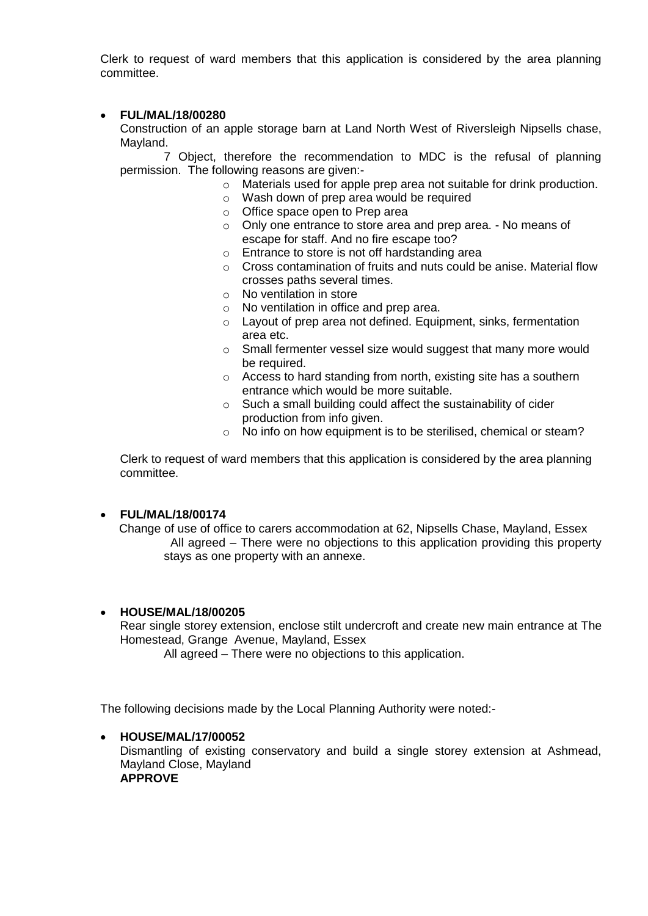Clerk to request of ward members that this application is considered by the area planning committee.

## **FUL/MAL/18/00280**

Construction of an apple storage barn at Land North West of Riversleigh Nipsells chase, Mayland.

7 Object, therefore the recommendation to MDC is the refusal of planning permission. The following reasons are given:-

- o Materials used for apple prep area not suitable for drink production.
- o Wash down of prep area would be required
- o Office space open to Prep area
- o Only one entrance to store area and prep area. No means of escape for staff. And no fire escape too?
- o Entrance to store is not off hardstanding area
- o Cross contamination of fruits and nuts could be anise. Material flow crosses paths several times.
- o No ventilation in store
- o No ventilation in office and prep area.
- o Layout of prep area not defined. Equipment, sinks, fermentation area etc.
- o Small fermenter vessel size would suggest that many more would be required.
- o Access to hard standing from north, existing site has a southern entrance which would be more suitable.
- o Such a small building could affect the sustainability of cider production from info given.
- o No info on how equipment is to be sterilised, chemical or steam?

Clerk to request of ward members that this application is considered by the area planning committee.

## **FUL/MAL/18/00174**

 Change of use of office to carers accommodation at 62, Nipsells Chase, Mayland, Essex All agreed – There were no objections to this application providing this property stays as one property with an annexe.

## **HOUSE/MAL/18/00205**

Rear single storey extension, enclose stilt undercroft and create new main entrance at The Homestead, Grange Avenue, Mayland, Essex

All agreed – There were no objections to this application.

The following decisions made by the Local Planning Authority were noted:-

### **HOUSE/MAL/17/00052** Dismantling of existing conservatory and build a single storey extension at Ashmead, Mayland Close, Mayland **APPROVE**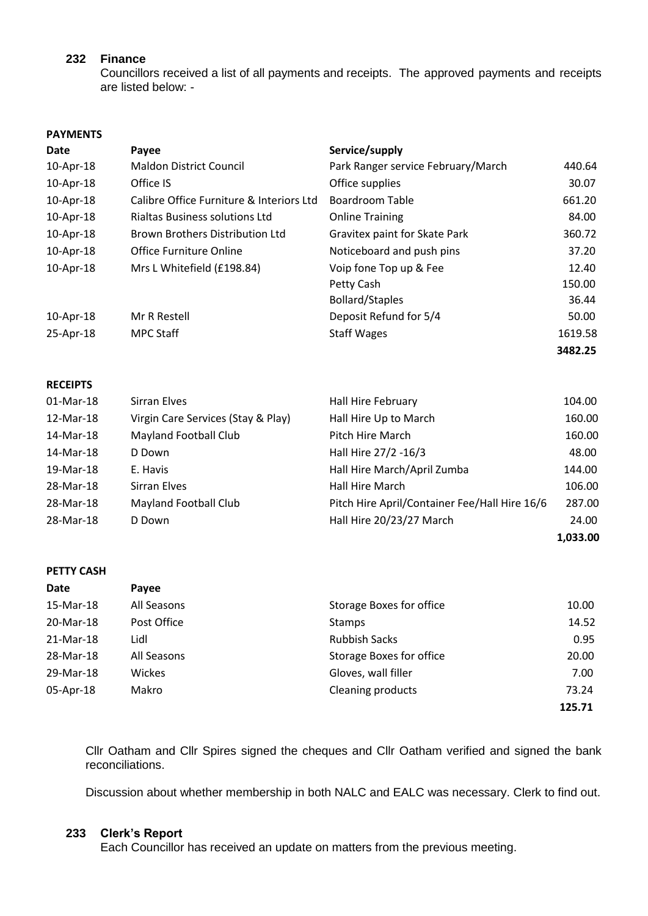### **232 Finance**

Councillors received a list of all payments and receipts. The approved payments and receipts are listed below: -

# **PAYMENTS Date Payee Payee Service/supply Service** 10-Apr-18 Maldon District Council Park Ranger service February/March 440.64 10-Apr-18 Office IS Office supplies 30.07 10-Apr-18 Calibre Office Furniture & Interiors Ltd Boardroom Table 661.20 10-Apr-18 Rialtas Business solutions Ltd Online Training 84.00 10-Apr-18 Brown Brothers Distribution Ltd Gravitex paint for Skate Park 360.72 10-Apr-18 Office Furniture Online Noticeboard and push pins 37.20 10-Apr-18 Mrs L Whitefield (£198.84) Voip fone Top up & Fee 12.40 Petty Cash 150.00 Bollard/Staples 36.44

10-Apr-18 Mr R Restell Deposit Refund for 5/4 50.00 25-Apr-18 MPC Staff Staff Staff Staff Wages 25-Apr-18 1619.58 **3482.25**

### **RECEIPTS**

| 01-Mar-18 | Sirran Elves                       | Hall Hire February                            | 104.00   |
|-----------|------------------------------------|-----------------------------------------------|----------|
| 12-Mar-18 | Virgin Care Services (Stay & Play) | Hall Hire Up to March                         | 160.00   |
| 14-Mar-18 | <b>Mayland Football Club</b>       | Pitch Hire March                              | 160.00   |
| 14-Mar-18 | D Down                             | Hall Hire 27/2 -16/3                          | 48.00    |
| 19-Mar-18 | E. Havis                           | Hall Hire March/April Zumba                   | 144.00   |
| 28-Mar-18 | Sirran Elves                       | Hall Hire March                               | 106.00   |
| 28-Mar-18 | <b>Mayland Football Club</b>       | Pitch Hire April/Container Fee/Hall Hire 16/6 | 287.00   |
| 28-Mar-18 | D Down                             | Hall Hire 20/23/27 March                      | 24.00    |
|           |                                    |                                               | 1,033.00 |

### **PETTY CASH**

| Date      | <b>Payee</b> |                                 |        |
|-----------|--------------|---------------------------------|--------|
| 15-Mar-18 | All Seasons  | Storage Boxes for office        | 10.00  |
| 20-Mar-18 | Post Office  | <b>Stamps</b>                   | 14.52  |
| 21-Mar-18 | Lidl         | <b>Rubbish Sacks</b>            | 0.95   |
| 28-Mar-18 | All Seasons  | <b>Storage Boxes for office</b> | 20.00  |
| 29-Mar-18 | Wickes       | Gloves, wall filler             | 7.00   |
| 05-Apr-18 | Makro        | Cleaning products               | 73.24  |
|           |              |                                 | 125.71 |

Cllr Oatham and Cllr Spires signed the cheques and Cllr Oatham verified and signed the bank reconciliations.

Discussion about whether membership in both NALC and EALC was necessary. Clerk to find out.

### **233 Clerk's Report**

Each Councillor has received an update on matters from the previous meeting.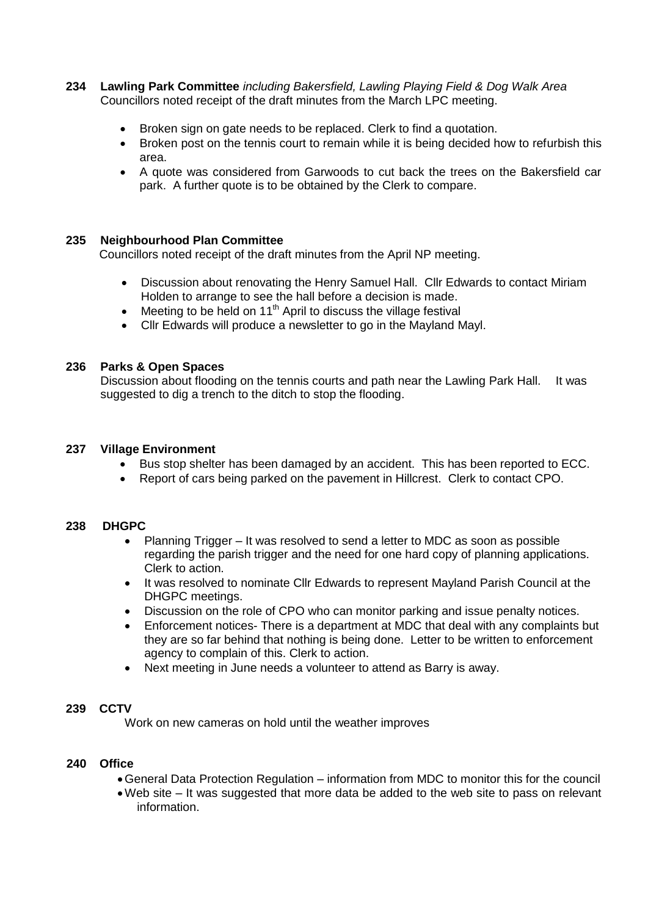- **234 Lawling Park Committee** *including Bakersfield, Lawling Playing Field & Dog Walk Area* Councillors noted receipt of the draft minutes from the March LPC meeting.
	- Broken sign on gate needs to be replaced. Clerk to find a quotation.
	- Broken post on the tennis court to remain while it is being decided how to refurbish this area.
	- A quote was considered from Garwoods to cut back the trees on the Bakersfield car park. A further quote is to be obtained by the Clerk to compare.

## **235 Neighbourhood Plan Committee**

Councillors noted receipt of the draft minutes from the April NP meeting.

- Discussion about renovating the Henry Samuel Hall. Cllr Edwards to contact Miriam Holden to arrange to see the hall before a decision is made.
- Meeting to be held on 11<sup>th</sup> April to discuss the village festival
- Cllr Edwards will produce a newsletter to go in the Mayland Mayl.

### **236 Parks & Open Spaces**

Discussion about flooding on the tennis courts and path near the Lawling Park Hall. It was suggested to dig a trench to the ditch to stop the flooding.

### **237 Village Environment**

- Bus stop shelter has been damaged by an accident. This has been reported to ECC.
- Report of cars being parked on the pavement in Hillcrest. Clerk to contact CPO.

### **238 DHGPC**

- Planning Trigger It was resolved to send a letter to MDC as soon as possible regarding the parish trigger and the need for one hard copy of planning applications. Clerk to action.
- It was resolved to nominate CIIr Edwards to represent Mayland Parish Council at the DHGPC meetings.
- Discussion on the role of CPO who can monitor parking and issue penalty notices.
- Enforcement notices- There is a department at MDC that deal with any complaints but they are so far behind that nothing is being done. Letter to be written to enforcement agency to complain of this. Clerk to action.
- Next meeting in June needs a volunteer to attend as Barry is away.

## **239 CCTV**

Work on new cameras on hold until the weather improves

### **240 Office**

- General Data Protection Regulation information from MDC to monitor this for the council
- Web site It was suggested that more data be added to the web site to pass on relevant information.